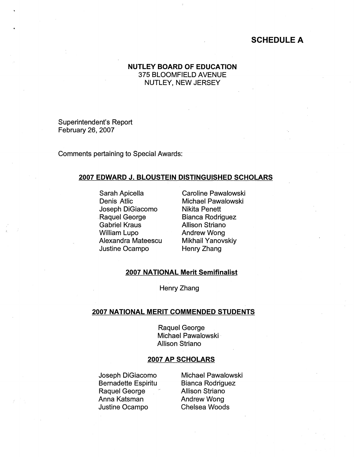# **SCHEDULE A**

## **NUTLEY BOARD OF EDUCATION**  375 BLOOMFIELD AVENUE NUTLEY, NEW JERSEY

Superintendent's Report February 26, 2007

Comments pertaining to Special Awards:

#### **2007 EDWARD J. BLOUSTEIN DISTINGUISHED SCHOLARS**

Sarah Apicella Denis Atlic Joseph DiGiacomo -Raquel George Gabriel Kraus William Lupo Alexandra Mateescu Justine Ocampo

Caroline Pawalowski Michael Pawalowski Nikita Penett Bianca Rodriguez Allison Striano Andrew Wong Mikhail Yanovskiy Henry Zhang

### **2007 NATIONAL Merit Semifinalist**

Henry Zhang

## **2007 NATIONAL MERIT COMMENDED STUDENTS**

Raquel George Michael Pawalowski · Allison Striano

#### **2007 AP SCHOLARS**

Joseph DiGiacomo Bernadette Espiritu Raquel George Anna Katsman Justine Ocampo

Michael Pawalowski Bianca Rodriguez Allison Striano Andrew Wong Chelsea Woods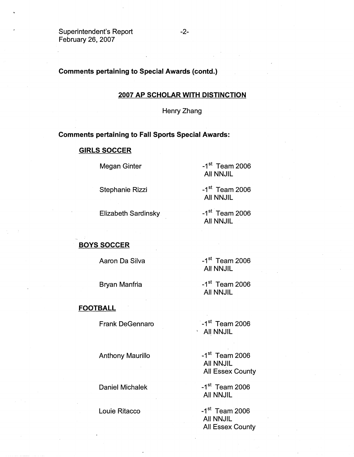Superintendent's Report February 26, 2007

## **Comments pertaining to Special Awards (contd.)**

#### **2007 AP SCHOLAR WITH DISTINCTION**

Henry Zhang

#### **Comments pertaining to Fall Sports Special Awards:**

#### **GIRLS SOCCER**

Megan Ginter

 $-1$ <sup>st</sup> Team 2006 All NNJIL

Stephanie Rizzi

Elizabeth Sardinsky

**BOYS SOCCER** 

Aaron Da Silva

Bryan Manfria

**FOOTBALL** 

Frank DeGennaro

Anthony Maurillo

Daniel Michalek

Louie Ritacco

 $-1$ <sup>st</sup> Team 2006 All NNJIL

 $-1$ <sup>st</sup> Team 2006 All NNJIL

 $-1$ <sup>st</sup> Team 2006 All NNJIL

 $-1$ <sup>st</sup> Team 2006 All NNJIL

 $-1$ <sup>st</sup> Team 2006 **AII NNJIL** 

 $-1$ <sup>st</sup> Team 2006 All NNJIL All Essex County

 $-1<sup>st</sup>$  Team 2006 All NNJIL

 $-1$ <sup>st</sup> Team 2006 All NNJIL All Essex County

-2-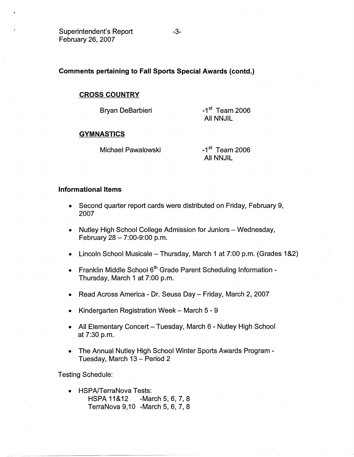Superintendent's Report February 26, 2007

**Comments pertaining to Fall Sports Special Awards (contd.)** 

### **CROSS COUNTRY**

Bryan DeBarbieri

 $-1$ <sup>st</sup> Team 2006 All NNJIL

### **GYMNASTICS**

Michael Pawalowski

 $-1$ <sup>st</sup> Team 2006 All NNJIL

### **Informational Items**

- Second quarter report cards were distributed on Friday, February 9, 2007
- Nutley High School College Admission for Juniors Wednesday, February  $28 - 7:00 - 9:00$  p.m.
- Lincoln School Musicale Thursday, March 1 at 7:00 p.m. (Grades 1 &2)
- Franklin Middle School  $6<sup>th</sup>$  Grade Parent Scheduling Information -Thursday, March 1 at 7:00 p.m.
- Read Across America Dr. Seuss Day Friday, March 2, 2007
- Kindergarten Registration Week March  $5 9$
- All Elementary Concert Tuesday, March 6 Nutley High School at 7:30 p.m.
- The Annual Nutley High School Winter Sports Awards Program Tuesday, March 13 - Period 2

Testing Schedule:

• HSPA/TerraNova Tests: HSPA 11&12 -March 5, 6, 7, 8 TerraNova 9,10 - March 5, 6, 7, 8

-3-